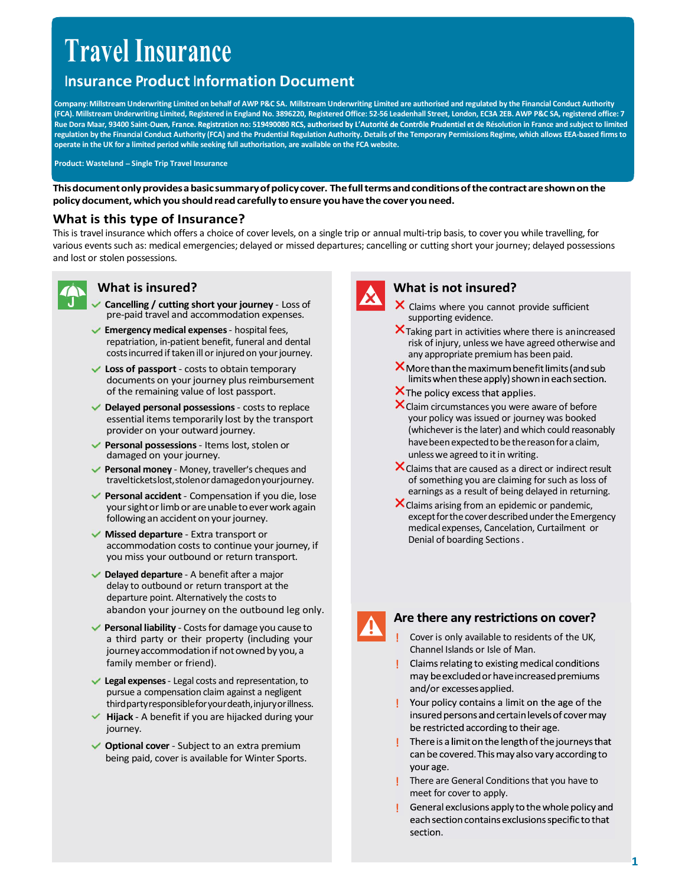# Travel Insurance

**Travel Insurance Product Information Document**<br>Insurance Product Information Document<br>A). Millstream Underwriting Limited on behalf of AWP P&C SA. Millstream Underwriting Limited are authorised and regulated by the Financ COMPANY COMPANY COMPANY: (Company: Millstream Underwriting Limited are authorised and regulated by the Financial Conduct Authority<br>Company: Millstream Underwriting Limited on behalf of AWP P&C SA. Millstream Underwriting L TYAVELIMSUITANCE<br>
INSUITANCE<br>
Company: Millstream Underwriting Limited on behalf of AWP P&C SA. Millstream Underwriting Limited are authorised and regulated by the Financial Conduct Authority<br>
(FCA). Millstream Underwritin **Example 19**<br> **Example 2012 11 ISUITANCE**<br>
INSUITANCE Information Document<br>
Company: Milistream Underwriting Limited on behalf of AWP P&C SA. Millstream Underwriting Limited are authorised and regulated by the Financial Co **regulation by the Financial Conduct Authority (FCA) and the Prudential Regulation Authority (FCA). Milistream Underwriting Limited, are approach and the Financial Conduct Authority<br>(FCA). Milistream Underwriting Limited, FRAVEL INSURANCE**<br>
INSURANCE<br>
INSURANCE INTERFERIT INTERFERIT COMPARED INTERFERIT INTERFERIT INTERFERIT INTERFERIT INCOMPARED INTERFERIT IN<br>
FIGAL MIlistram Underwriting Limited, Registered of Fundami Ato. 3996220, Regist Travel Insurance Product Information Document<br>
Company Millitersim Underwriting Limited on behalf of AWP P&C SA. Millitersim Underwriting Limited are authorized by the Financial Conduct Authority<br>
(CA), Millitersim Underwr **Fraction of the contract and the contract of the contract of the care of the contract and the control of the contract and the control of the contract and the control of the contract and the counterparticle in the cover is PRONIME ANTERNATION CONTROL CONTROL CONTROL CONTROL CONTROL CONTROL CONTROL CONTROL CONTROL CONTROL CONTROL CONTROL CONTROL CONTROL CONTROL CONTROL CONTROL CONTROL CONTROL CONTROL CONTROL CONTROL CONTROL CONTROL CONTROL** Loss of<br>
the multipremies the passes of the passes of the costs of the costs of the costs of the costs of the costs of<br>
the multipremies the frame of the street of the street of the street of the street of the street of th

Product: Wasteland - Single Trip Travel Insurance

#### What is this type of Insurance?

This is travel insurance which offers a choice of cover levels, on a single trip or annual multi-trip basis, to cover you while travelling, for various events such as: medical emergencies; delayed or missed departures; cancelling or cutting short your journey; delayed possessions and lost or stolen possessions. Example the term is in the term is a contract to the term is a cost of the term is a cost of the term is a cost of the term is a cost of the contract are shown on the term is the structure of the term is the costs of the c Einstein the tems and conditions of the contract are shown<br>
ment, which you should read carefully to ensure you have the cover you need.<br>
this type of Insurance?<br>
Insurance?<br>
Insurance?<br>
Its who of some direct cover levels this type of Insurance?<br>
Insurance which differs a choice of cover levels, on a single trip or annual multi-trip basis, to cover you while tra<br>
is such as: medical emergencies, delayed or missed departures; cancelling or c Insurance which offers a choice of cover levels, on a single trip or annual multi-trip basis, to cover you while travelling, for<br>such as medical emergencies; delayed or missed departures; cancelling or outing short your jo Following an accelerist controllowing and the subsection of the term of the controllowing an acceleristic controllowing and traveligion of the controllowing an acceleristic controllowing to the controllowing the controllow



### What is insured?

- pre-paid travel and accommodation expenses.
- Emergency medical expenses hospital fees, repatriation, in-patient benefit, funeral and dental costs incurred if taken ill or injured on your journey.
- documents on your journey plus reimbursement<br>of the remaining value of lost passport. of the remaining value of lost passport.
- essential items temporarily lost by the transport provider on your outward journey.
- damaged on your journey.
- Personal money Money, traveller's cheques and travelticketslost,stolenordamagedonyourjourney.
- 
- accommodation costs to continue your journey, if you miss your outbound or return transport.
- Characteristic internal and accommodation experiment at the causar of the processions.<br>
Scaling y cutting short our internal accommodation expenses.<br>
Energency medical expenses hospital fees,<br>
Energency medical extramelian Delayed departure - A benefit after a major delay to outbound or return transport at the departure point. Alternatively the costs to
- costs incurred if raken ill or injured on your journey.<br>
Loss of passport costs to obtain temporary any appropriate premium has been<br>
documents on your journey plus reimbursement<br>
of the remaining value of lost passport family member or friend). **Personal possessions** - Items lost, stolen or<br> **Personal possessions** - Items lost, stolen or<br> **Personal accel**<br> **Personal accelering your purveluge of the compensation if you diety. The assesses are during your excellent Personal more -** Monellel travelend more and the treat assets as direct of the substitute of the cost of the cost of the cost of the cost of the cost of the cost of the continue out in properties are alternation of the c travelticketslost,stolenordamagedonyourjourney.<br>
Yenes and informal accelent Compession if you also content from the competition from the competition of the content of the content of the cover in the content of the content
- Legal expenses Legal costs and representation, to pursue a compensation claim against a negligent third party responsible for your death, injury or illness.
- journey.
- 



- $\times$  Claims where you cannot provide sufficient supporting evidence.
- $\mathsf{\times}$  Taking part in activities where there is an increased risk of injury, unless we have agreed otherwise and any appropriate premium has been paid.
- 
- 
- Later of the their state of passport costs to obtain temporary<br>
documents on type property plus reminded to the remaining value of lota passport.<br>
of the remaining value of lota passport.<br>
Scalim chromes are the believe Use of the remaining prioris to counter the term in the proposition of the term in the content of the remaining value of the remaining value of the remaining value of the remaining to the remaining value of the remaining t X Claim circumstances you were aware of before your policy was issued or journey was booked (whichever is the later) and which could reasonably have been expected to be the reason for a claim, unless we agreed to it in writing.
	- **X** Claims that are caused as a direct or indirect result of something you are claiming for such as loss of earnings as a result of being delayed in returning.
	- **X** Claims arising from an epidemic or pandemic, except for the cover described under the Emergency medical expenses, Cancelation, Curtailment or Denial of boarding Sections .



## abandon your journey on the outbound leg only.

- Cover is only available to residents of the UK, Channel Islands or Isle of Man.
- 
- 
- 
- **There are General Conditions that you have to** meet for cover to apply.
-